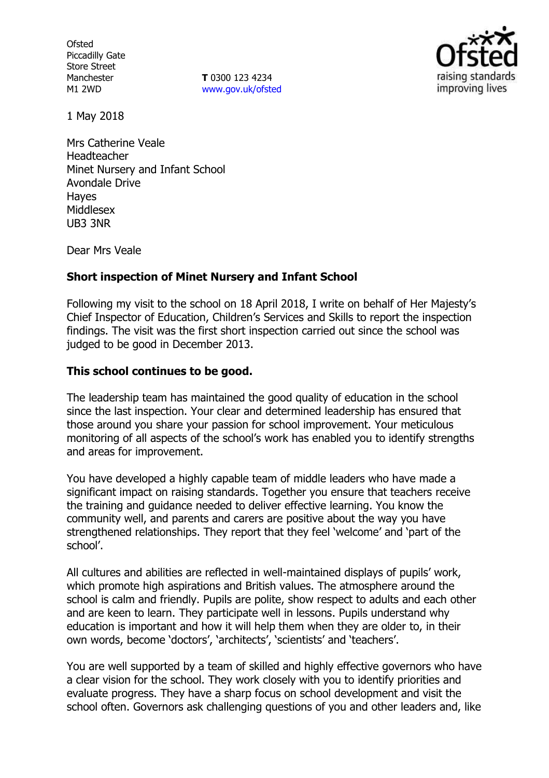**Ofsted** Piccadilly Gate Store Street Manchester M1 2WD

**T** 0300 123 4234 www.gov.uk/ofsted



1 May 2018

Mrs Catherine Veale Headteacher Minet Nursery and Infant School Avondale Drive Hayes Middlesex UB3 3NR

Dear Mrs Veale

## **Short inspection of Minet Nursery and Infant School**

Following my visit to the school on 18 April 2018, I write on behalf of Her Majesty's Chief Inspector of Education, Children's Services and Skills to report the inspection findings. The visit was the first short inspection carried out since the school was judged to be good in December 2013.

### **This school continues to be good.**

The leadership team has maintained the good quality of education in the school since the last inspection. Your clear and determined leadership has ensured that those around you share your passion for school improvement. Your meticulous monitoring of all aspects of the school's work has enabled you to identify strengths and areas for improvement.

You have developed a highly capable team of middle leaders who have made a significant impact on raising standards. Together you ensure that teachers receive the training and guidance needed to deliver effective learning. You know the community well, and parents and carers are positive about the way you have strengthened relationships. They report that they feel 'welcome' and 'part of the school'.

All cultures and abilities are reflected in well-maintained displays of pupils' work, which promote high aspirations and British values. The atmosphere around the school is calm and friendly. Pupils are polite, show respect to adults and each other and are keen to learn. They participate well in lessons. Pupils understand why education is important and how it will help them when they are older to, in their own words, become 'doctors', 'architects', 'scientists' and 'teachers'.

You are well supported by a team of skilled and highly effective governors who have a clear vision for the school. They work closely with you to identify priorities and evaluate progress. They have a sharp focus on school development and visit the school often. Governors ask challenging questions of you and other leaders and, like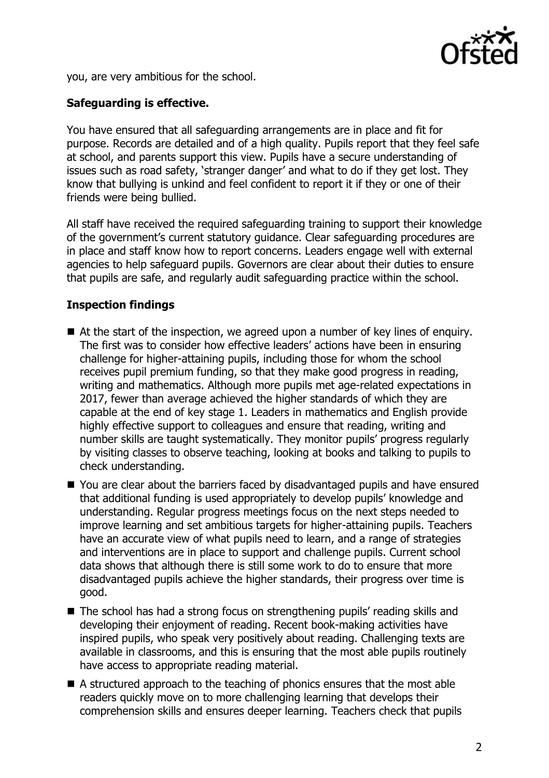

you, are very ambitious for the school.

# **Safeguarding is effective.**

You have ensured that all safeguarding arrangements are in place and fit for purpose. Records are detailed and of a high quality. Pupils report that they feel safe at school, and parents support this view. Pupils have a secure understanding of issues such as road safety, 'stranger danger' and what to do if they get lost. They know that bullying is unkind and feel confident to report it if they or one of their friends were being bullied.

All staff have received the required safeguarding training to support their knowledge of the government's current statutory guidance. Clear safeguarding procedures are in place and staff know how to report concerns. Leaders engage well with external agencies to help safeguard pupils. Governors are clear about their duties to ensure that pupils are safe, and regularly audit safeguarding practice within the school.

# **Inspection findings**

- $\blacksquare$  At the start of the inspection, we agreed upon a number of key lines of enguiry. The first was to consider how effective leaders' actions have been in ensuring challenge for higher-attaining pupils, including those for whom the school receives pupil premium funding, so that they make good progress in reading, writing and mathematics. Although more pupils met age-related expectations in 2017, fewer than average achieved the higher standards of which they are capable at the end of key stage 1. Leaders in mathematics and English provide highly effective support to colleagues and ensure that reading, writing and number skills are taught systematically. They monitor pupils' progress regularly by visiting classes to observe teaching, looking at books and talking to pupils to check understanding.
- You are clear about the barriers faced by disadvantaged pupils and have ensured that additional funding is used appropriately to develop pupils' knowledge and understanding. Regular progress meetings focus on the next steps needed to improve learning and set ambitious targets for higher-attaining pupils. Teachers have an accurate view of what pupils need to learn, and a range of strategies and interventions are in place to support and challenge pupils. Current school data shows that although there is still some work to do to ensure that more disadvantaged pupils achieve the higher standards, their progress over time is good.
- The school has had a strong focus on strengthening pupils' reading skills and developing their enjoyment of reading. Recent book-making activities have inspired pupils, who speak very positively about reading. Challenging texts are available in classrooms, and this is ensuring that the most able pupils routinely have access to appropriate reading material.
- A structured approach to the teaching of phonics ensures that the most able readers quickly move on to more challenging learning that develops their comprehension skills and ensures deeper learning. Teachers check that pupils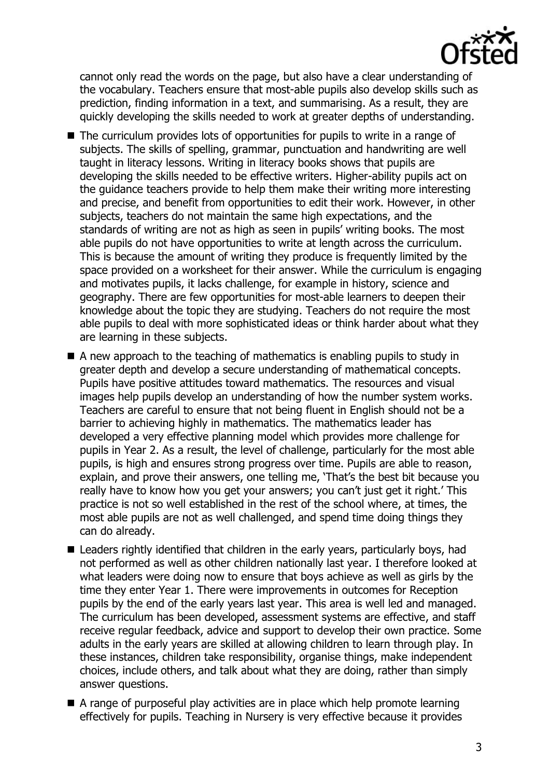

cannot only read the words on the page, but also have a clear understanding of the vocabulary. Teachers ensure that most-able pupils also develop skills such as prediction, finding information in a text, and summarising. As a result, they are quickly developing the skills needed to work at greater depths of understanding.

- The curriculum provides lots of opportunities for pupils to write in a range of subjects. The skills of spelling, grammar, punctuation and handwriting are well taught in literacy lessons. Writing in literacy books shows that pupils are developing the skills needed to be effective writers. Higher-ability pupils act on the guidance teachers provide to help them make their writing more interesting and precise, and benefit from opportunities to edit their work. However, in other subjects, teachers do not maintain the same high expectations, and the standards of writing are not as high as seen in pupils' writing books. The most able pupils do not have opportunities to write at length across the curriculum. This is because the amount of writing they produce is frequently limited by the space provided on a worksheet for their answer. While the curriculum is engaging and motivates pupils, it lacks challenge, for example in history, science and geography. There are few opportunities for most-able learners to deepen their knowledge about the topic they are studying. Teachers do not require the most able pupils to deal with more sophisticated ideas or think harder about what they are learning in these subjects.
- A new approach to the teaching of mathematics is enabling pupils to study in greater depth and develop a secure understanding of mathematical concepts. Pupils have positive attitudes toward mathematics. The resources and visual images help pupils develop an understanding of how the number system works. Teachers are careful to ensure that not being fluent in English should not be a barrier to achieving highly in mathematics. The mathematics leader has developed a very effective planning model which provides more challenge for pupils in Year 2. As a result, the level of challenge, particularly for the most able pupils, is high and ensures strong progress over time. Pupils are able to reason, explain, and prove their answers, one telling me, 'That's the best bit because you really have to know how you get your answers; you can't just get it right.' This practice is not so well established in the rest of the school where, at times, the most able pupils are not as well challenged, and spend time doing things they can do already.
- Leaders rightly identified that children in the early years, particularly boys, had not performed as well as other children nationally last year. I therefore looked at what leaders were doing now to ensure that boys achieve as well as girls by the time they enter Year 1. There were improvements in outcomes for Reception pupils by the end of the early years last year. This area is well led and managed. The curriculum has been developed, assessment systems are effective, and staff receive regular feedback, advice and support to develop their own practice. Some adults in the early years are skilled at allowing children to learn through play. In these instances, children take responsibility, organise things, make independent choices, include others, and talk about what they are doing, rather than simply answer questions.
- A range of purposeful play activities are in place which help promote learning effectively for pupils. Teaching in Nursery is very effective because it provides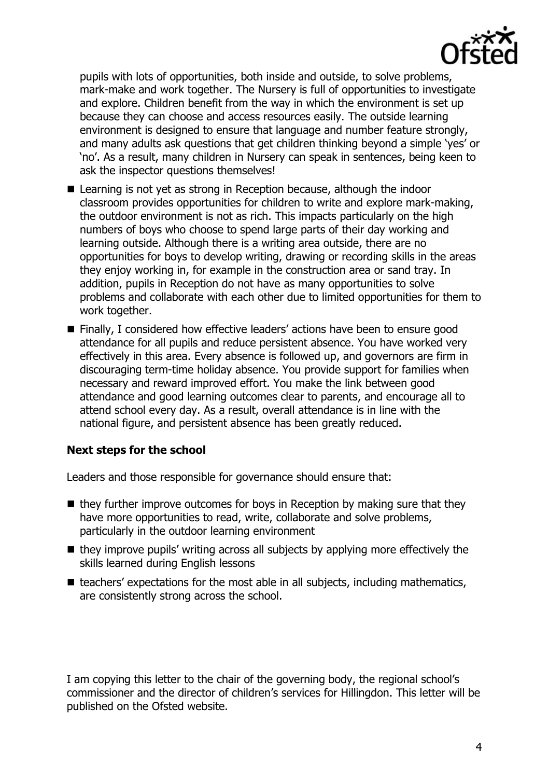

pupils with lots of opportunities, both inside and outside, to solve problems, mark-make and work together. The Nursery is full of opportunities to investigate and explore. Children benefit from the way in which the environment is set up because they can choose and access resources easily. The outside learning environment is designed to ensure that language and number feature strongly, and many adults ask questions that get children thinking beyond a simple 'yes' or 'no'. As a result, many children in Nursery can speak in sentences, being keen to ask the inspector questions themselves!

- Learning is not yet as strong in Reception because, although the indoor classroom provides opportunities for children to write and explore mark-making, the outdoor environment is not as rich. This impacts particularly on the high numbers of boys who choose to spend large parts of their day working and learning outside. Although there is a writing area outside, there are no opportunities for boys to develop writing, drawing or recording skills in the areas they enjoy working in, for example in the construction area or sand tray. In addition, pupils in Reception do not have as many opportunities to solve problems and collaborate with each other due to limited opportunities for them to work together.
- Finally, I considered how effective leaders' actions have been to ensure good attendance for all pupils and reduce persistent absence. You have worked very effectively in this area. Every absence is followed up, and governors are firm in discouraging term-time holiday absence. You provide support for families when necessary and reward improved effort. You make the link between good attendance and good learning outcomes clear to parents, and encourage all to attend school every day. As a result, overall attendance is in line with the national figure, and persistent absence has been greatly reduced.

## **Next steps for the school**

Leaders and those responsible for governance should ensure that:

- $\blacksquare$  they further improve outcomes for boys in Reception by making sure that they have more opportunities to read, write, collaborate and solve problems, particularly in the outdoor learning environment
- they improve pupils' writing across all subjects by applying more effectively the skills learned during English lessons
- $\blacksquare$  teachers' expectations for the most able in all subjects, including mathematics, are consistently strong across the school.

I am copying this letter to the chair of the governing body, the regional school's commissioner and the director of children's services for Hillingdon. This letter will be published on the Ofsted website.